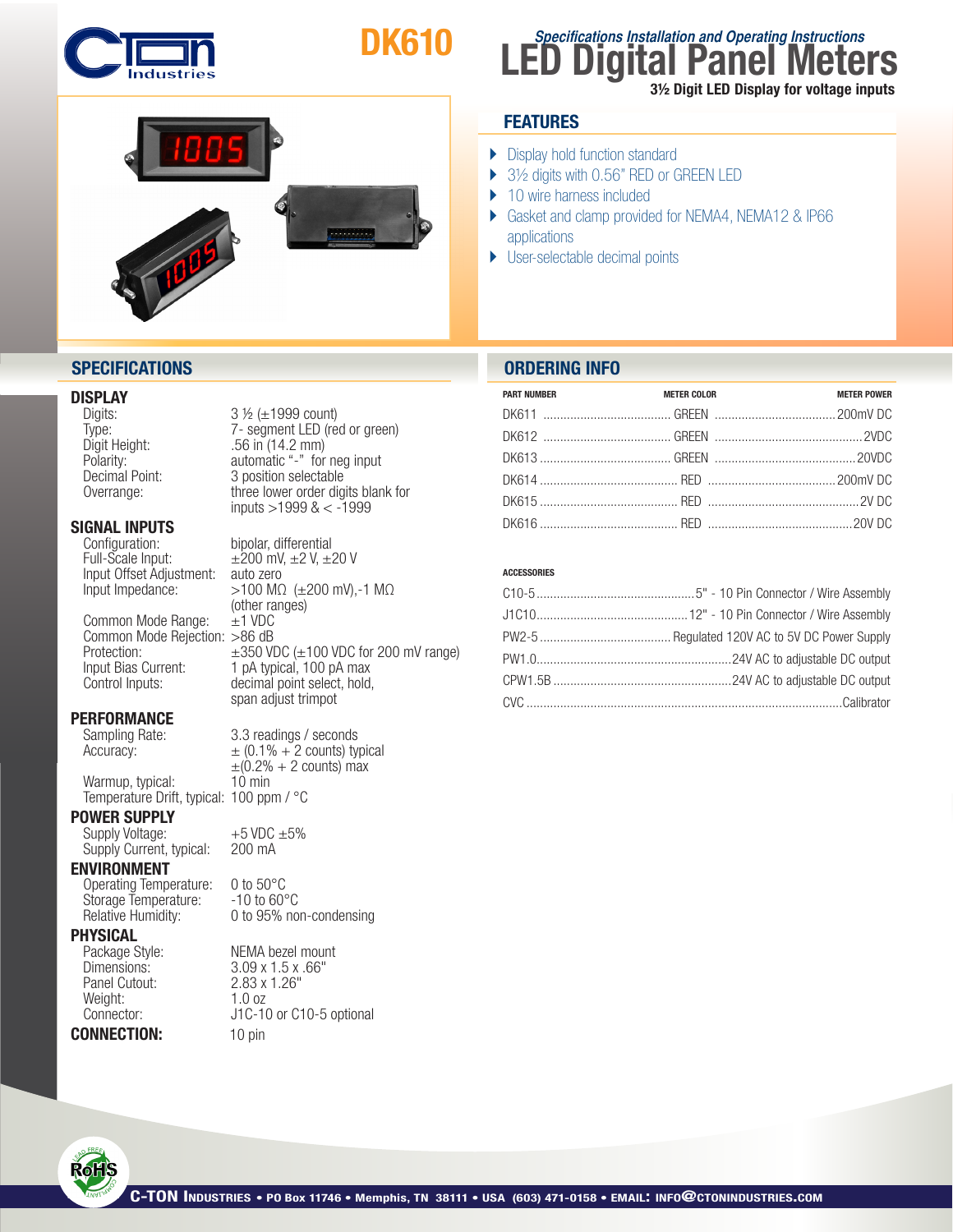

# DK610



## **SPECIFICATIONS ORDERING INFO**

#### DISPLAY

## **SIGNAL INPUTS**<br>Configuration:

Input Offset Adjustment:<br>Input Impedance:

Common Mode Range: Common Mode Rejection: >86 dB

## **PERFORMANCE**<br>Sampling Rate:

Warmup, typical: 10 min Temperature Drift, typical: 100 ppm / °C

#### POWER SUPPLY

Supply Voltage:  $+5$  VDC  $\pm 5\%$ <br>Supply Current, typical:  $200$  mA Supply Current, typical:

#### ENVIRONMENT

Operating Temperature: 0 to 50°C<br>Storage Temperature: -10 to 60°C Storage Temperature:

## **PHYSICAL**<br>Package Style:

Panel Cutout: 2.83 x<br>Weight: 1.0 oz Weight:<br>Connector:

CONNECTION: 10 pin

Digits:  $3 \frac{1}{2} (\pm 1999 \text{ count})$ Type: 7- segment LED (red or green)<br>Digit Height: 56 in (14.2 mm) Digit Height: .56 in (14.2 mm) automatic "-" for neg input Decimal Point: 3 position selectable Overrange: three lower order digits blank for inputs >1999 & < -1999

bipolar, differential Full-Scale Input:  $\pm 200$  mV,  $\pm 2$  V,  $\pm 20$  V<br>Input Offset Adjustment: auto zero  $>100$  MΩ ( $±200$  mV),-1 MΩ (other ranges)<br> $\pm$ 1 VDC Protection:  $\pm 350$  VDC ( $\pm 100$  VDC for 200 mV range)<br>Input Bias Current: 1 pA typical, 100 pA max Input Bias Current: 1 pA typical, 100 pA max<br>Control Inputs: decimal point select, hold decimal point select, hold, span adjust trimpot

3.3 readings / seconds  $\text{Accuracy:}$   $\pm (0.1\% + 2 \text{ counts})$  typical  $\pm (0.2\% + 2 \text{ counts})$  max

Relative Humidity: 0 to 95% non-condensing

Package Style: NEMA bezel mount<br>Dimensions: 3.09 x 1.5 x .66" 3.09 x 1.5 x .66"<br>2.83 x 1.26" J1C-10 or C10-5 optional

| <b>PART NUMBER</b> | <b>METER COLOR</b> | <b>METER POWER</b> |
|--------------------|--------------------|--------------------|
|                    |                    |                    |
|                    |                    |                    |
|                    |                    |                    |
|                    |                    |                    |
|                    |                    |                    |
|                    |                    |                    |

#### **ACCESSORIES**



## **LED Digital Panel Meters Specifications Installation and Operating Instructions**

3½ Digit LED Display for voltage inputs

## **FEATURES**

- **Display hold function standard**
- ▶ 3½ digits with 0.56" RED or GREEN LED
- ▶ 10 wire harness included
- ▶ Gasket and clamp provided for NEMA4, NEMA12 & IP66 applications
- } User-selectable decimal points